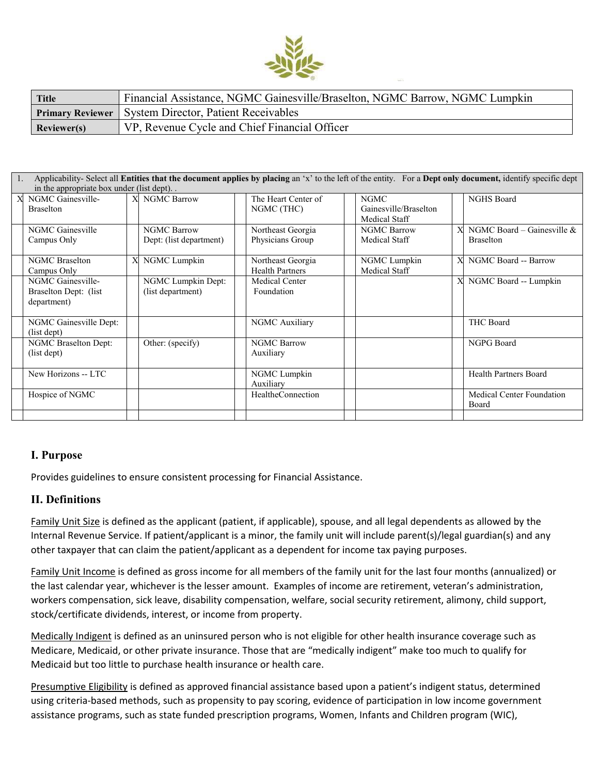

| <b>Title</b> | Financial Assistance, NGMC Gainesville/Braselton, NGMC Barrow, NGMC Lumpkin |
|--------------|-----------------------------------------------------------------------------|
|              | <b>Primary Reviewer</b> System Director, Patient Receivables                |
| Reviewer(s)  | VP, Revenue Cycle and Chief Financial Officer                               |

| in the appropriate box under (list dept).<br>X NGMC Gainesville-<br><b>NGHS Board</b><br>X NGMC Barrow<br>The Heart Center of<br><b>NGMC</b> |                              |
|----------------------------------------------------------------------------------------------------------------------------------------------|------------------------------|
|                                                                                                                                              |                              |
|                                                                                                                                              |                              |
| NGMC (THC)<br>Gainesville/Braselton<br><b>Braselton</b>                                                                                      |                              |
| Medical Staff                                                                                                                                |                              |
| NGMC Gainesville<br><b>NGMC Barrow</b><br>Northeast Georgia<br><b>NGMC Barrow</b>                                                            | NGMC Board – Gainesville $&$ |
| Physicians Group<br>Campus Only<br>Medical Staff<br>Dept: (list department)<br><b>Braselton</b>                                              |                              |
|                                                                                                                                              |                              |
| NGMC Lumpkin<br>X<br><b>NGMC</b> Braselton<br>X<br>Northeast Georgia<br>NGMC Lumpkin                                                         | NGMC Board -- Barrow         |
| <b>Medical Staff</b><br><b>Health Partners</b><br>Campus Only                                                                                |                              |
| NGMC Lumpkin Dept:<br>NGMC Gainesville-<br>X<br><b>Medical Center</b>                                                                        | NGMC Board -- Lumpkin        |
| (list department)<br>Braselton Dept: (list)<br>Foundation                                                                                    |                              |
| department)                                                                                                                                  |                              |
|                                                                                                                                              |                              |
| NGMC Auxiliary<br><b>THC Board</b><br>NGMC Gainesville Dept:                                                                                 |                              |
| (list dept)                                                                                                                                  |                              |
| NGPG Board<br>NGMC Braselton Dept:<br><b>NGMC Barrow</b><br>Other: (specify)                                                                 |                              |
| (list dept)<br>Auxiliary                                                                                                                     |                              |
|                                                                                                                                              |                              |
| New Horizons -- LTC<br>NGMC Lumpkin                                                                                                          | <b>Health Partners Board</b> |
| Auxiliary                                                                                                                                    |                              |
| Hospice of NGMC<br>HealtheConnection                                                                                                         | Medical Center Foundation    |
| Board                                                                                                                                        |                              |
|                                                                                                                                              |                              |

# **I. Purpose**

Provides guidelines to ensure consistent processing for Financial Assistance.

# **II. Definitions**

Family Unit Size is defined as the applicant (patient, if applicable), spouse, and all legal dependents as allowed by the Internal Revenue Service. If patient/applicant is a minor, the family unit will include parent(s)/legal guardian(s) and any other taxpayer that can claim the patient/applicant as a dependent for income tax paying purposes.

Family Unit Income is defined as gross income for all members of the family unit for the last four months (annualized) or the last calendar year, whichever is the lesser amount. Examples of income are retirement, veteran's administration, workers compensation, sick leave, disability compensation, welfare, social security retirement, alimony, child support, stock/certificate dividends, interest, or income from property.

Medically Indigent is defined as an uninsured person who is not eligible for other health insurance coverage such as Medicare, Medicaid, or other private insurance. Those that are "medically indigent" make too much to qualify for Medicaid but too little to purchase health insurance or health care.

Presumptive Eligibility is defined as approved financial assistance based upon a patient's indigent status, determined using criteria-based methods, such as propensity to pay scoring, evidence of participation in low income government assistance programs, such as state funded prescription programs, Women, Infants and Children program (WIC),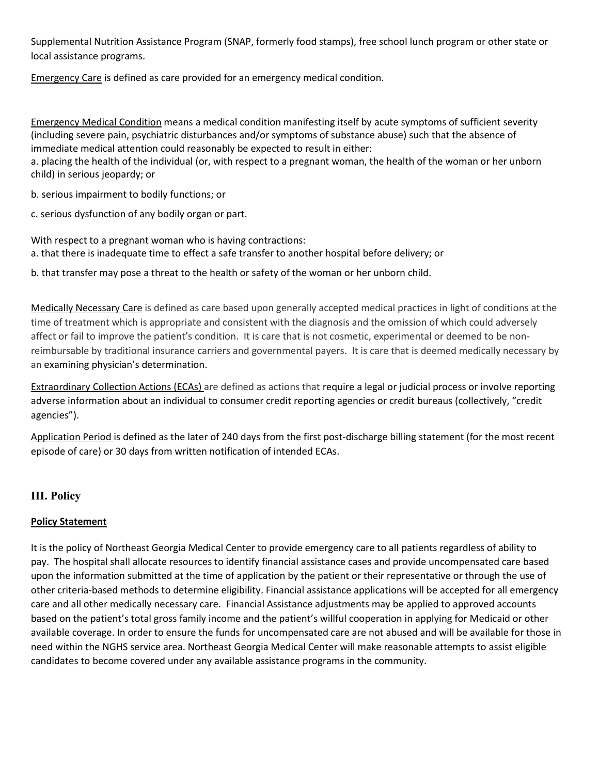Supplemental Nutrition Assistance Program (SNAP, formerly food stamps), free school lunch program or other state or local assistance programs.

Emergency Care is defined as care provided for an emergency medical condition.

Emergency Medical Condition means a medical condition manifesting itself by acute symptoms of sufficient severity (including severe pain, psychiatric disturbances and/or symptoms of substance abuse) such that the absence of immediate medical attention could reasonably be expected to result in either:

a. placing the health of the individual (or, with respect to a pregnant woman, the health of the woman or her unborn child) in serious jeopardy; or

b. serious impairment to bodily functions; or

c. serious dysfunction of any bodily organ or part.

With respect to a pregnant woman who is having contractions: a. that there is inadequate time to effect a safe transfer to another hospital before delivery; or

b. that transfer may pose a threat to the health or safety of the woman or her unborn child.

Medically Necessary Care is defined as care based upon generally accepted medical practices in light of conditions at the time of treatment which is appropriate and consistent with the diagnosis and the omission of which could adversely affect or fail to improve the patient's condition. It is care that is not cosmetic, experimental or deemed to be nonreimbursable by traditional insurance carriers and governmental payers. It is care that is deemed medically necessary by an examining physician's determination.

Extraordinary Collection Actions (ECAs) are defined as actions that require a legal or judicial process or involve reporting adverse information about an individual to consumer credit reporting agencies or credit bureaus (collectively, "credit agencies").

Application Period is defined as the later of 240 days from the first post-discharge billing statement (for the most recent episode of care) or 30 days from written notification of intended ECAs.

# **III. Policy**

# **Policy Statement**

It is the policy of Northeast Georgia Medical Center to provide emergency care to all patients regardless of ability to pay. The hospital shall allocate resources to identify financial assistance cases and provide uncompensated care based upon the information submitted at the time of application by the patient or their representative or through the use of other criteria-based methods to determine eligibility. Financial assistance applications will be accepted for all emergency care and all other medically necessary care. Financial Assistance adjustments may be applied to approved accounts based on the patient's total gross family income and the patient's willful cooperation in applying for Medicaid or other available coverage. In order to ensure the funds for uncompensated care are not abused and will be available for those in need within the NGHS service area. Northeast Georgia Medical Center will make reasonable attempts to assist eligible candidates to become covered under any available assistance programs in the community.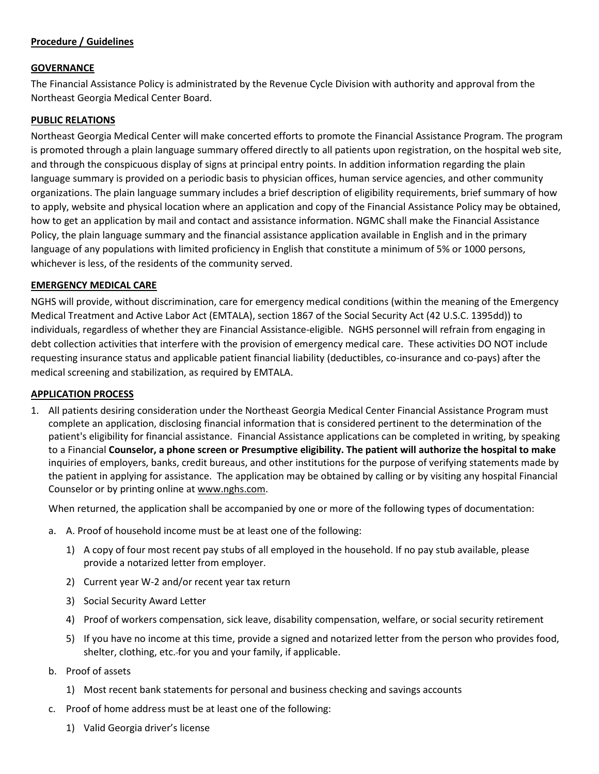## **Procedure / Guidelines**

### **GOVERNANCE**

The Financial Assistance Policy is administrated by the Revenue Cycle Division with authority and approval from the Northeast Georgia Medical Center Board.

### **PUBLIC RELATIONS**

Northeast Georgia Medical Center will make concerted efforts to promote the Financial Assistance Program. The program is promoted through a plain language summary offered directly to all patients upon registration, on the hospital web site, and through the conspicuous display of signs at principal entry points. In addition information regarding the plain language summary is provided on a periodic basis to physician offices, human service agencies, and other community organizations. The plain language summary includes a brief description of eligibility requirements, brief summary of how to apply, website and physical location where an application and copy of the Financial Assistance Policy may be obtained, how to get an application by mail and contact and assistance information. NGMC shall make the Financial Assistance Policy, the plain language summary and the financial assistance application available in English and in the primary language of any populations with limited proficiency in English that constitute a minimum of 5% or 1000 persons, whichever is less, of the residents of the community served.

#### **EMERGENCY MEDICAL CARE**

NGHS will provide, without discrimination, care for emergency medical conditions (within the meaning of the Emergency Medical Treatment and Active Labor Act (EMTALA), section 1867 of the Social Security Act ([42 U.S.C. 1395](http://api.fdsys.gov/link?collection=uscode&title=42&year=mostrecent§ion=1395&type=usc&link-type=html)dd)) to individuals, regardless of whether they are Financial Assistance-eligible. NGHS personnel will refrain from engaging in debt collection activities that interfere with the provision of emergency medical care. These activities DO NOT include requesting insurance status and applicable patient financial liability (deductibles, co-insurance and co-pays) after the medical screening and stabilization, as required by EMTALA.

#### **APPLICATION PROCESS**

1. All patients desiring consideration under the Northeast Georgia Medical Center Financial Assistance Program must complete an application, disclosing financial information that is considered pertinent to the determination of the patient's eligibility for financial assistance. Financial Assistance applications can be completed in writing, by speaking to a Financial **Counselor, a phone screen or Presumptive eligibility. The patient will authorize the hospital to make** inquiries of employers, banks, credit bureaus, and other institutions for the purpose of verifying statements made by the patient in applying for assistance. The application may be obtained by calling or by visiting any hospital Financial Counselor or by printing online at [www.nghs.com.](http://www.nghs.com/)

When returned, the application shall be accompanied by one or more of the following types of documentation:

- a. A. Proof of household income must be at least one of the following:
	- 1) A copy of four most recent pay stubs of all employed in the household. If no pay stub available, please provide a notarized letter from employer.
	- 2) Current year W-2 and/or recent year tax return
	- 3) Social Security Award Letter
	- 4) Proof of workers compensation, sick leave, disability compensation, welfare, or social security retirement
	- 5) If you have no income at this time, provide a signed and notarized letter from the person who provides food, shelter, clothing, etc. for you and your family, if applicable.
- b. Proof of assets
	- 1) Most recent bank statements for personal and business checking and savings accounts
- c. Proof of home address must be at least one of the following:
	- 1) Valid Georgia driver's license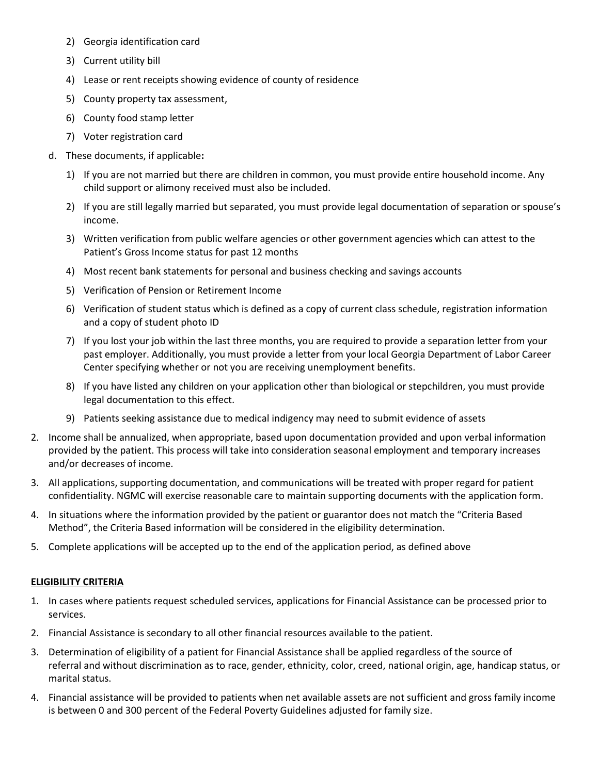- 2) Georgia identification card
- 3) Current utility bill
- 4) Lease or rent receipts showing evidence of county of residence
- 5) County property tax assessment,
- 6) County food stamp letter
- 7) Voter registration card
- d. These documents, if applicable**:** 
	- 1) If you are not married but there are children in common, you must provide entire household income. Any child support or alimony received must also be included.
	- 2) If you are still legally married but separated, you must provide legal documentation of separation or spouse's income.
	- 3) Written verification from public welfare agencies or other government agencies which can attest to the Patient's Gross Income status for past 12 months
	- 4) Most recent bank statements for personal and business checking and savings accounts
	- 5) Verification of Pension or Retirement Income
	- 6) Verification of student status which is defined as a copy of current class schedule, registration information and a copy of student photo ID
	- 7) If you lost your job within the last three months, you are required to provide a separation letter from your past employer. Additionally, you must provide a letter from your local Georgia Department of Labor Career Center specifying whether or not you are receiving unemployment benefits.
	- 8) If you have listed any children on your application other than biological or stepchildren, you must provide legal documentation to this effect.
	- 9) Patients seeking assistance due to medical indigency may need to submit evidence of assets
- 2. Income shall be annualized, when appropriate, based upon documentation provided and upon verbal information provided by the patient. This process will take into consideration seasonal employment and temporary increases and/or decreases of income.
- 3. All applications, supporting documentation, and communications will be treated with proper regard for patient confidentiality. NGMC will exercise reasonable care to maintain supporting documents with the application form.
- 4. In situations where the information provided by the patient or guarantor does not match the "Criteria Based Method", the Criteria Based information will be considered in the eligibility determination.
- 5. Complete applications will be accepted up to the end of the application period, as defined above

### **ELIGIBILITY CRITERIA**

- 1. In cases where patients request scheduled services, applications for Financial Assistance can be processed prior to services.
- 2. Financial Assistance is secondary to all other financial resources available to the patient.
- 3. Determination of eligibility of a patient for Financial Assistance shall be applied regardless of the source of referral and without discrimination as to race, gender, ethnicity, color, creed, national origin, age, handicap status, or marital status.
- 4. Financial assistance will be provided to patients when net available assets are not sufficient and gross family income is between 0 and 300 percent of the Federal Poverty Guidelines adjusted for family size.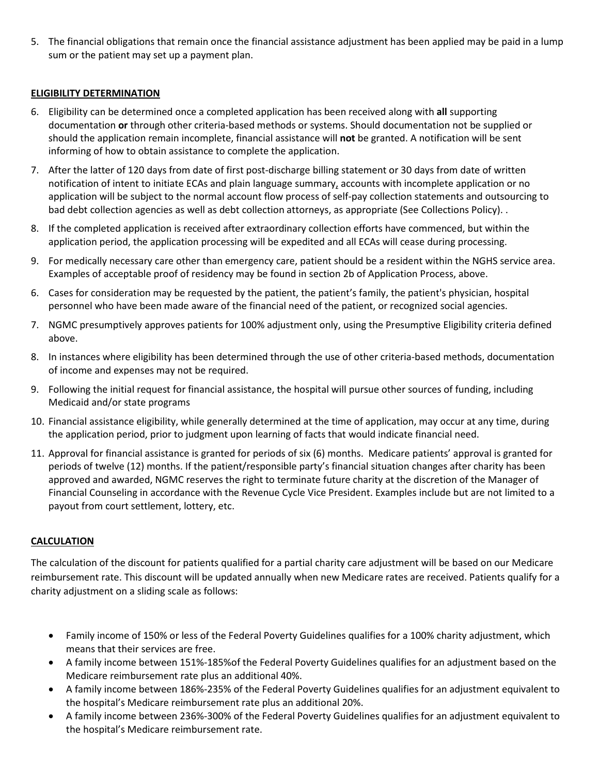5. The financial obligations that remain once the financial assistance adjustment has been applied may be paid in a lump sum or the patient may set up a payment plan.

## **ELIGIBILITY DETERMINATION**

- 6. Eligibility can be determined once a completed application has been received along with **all** supporting documentation **or** through other criteria-based methods or systems. Should documentation not be supplied or should the application remain incomplete, financial assistance will **not** be granted. A notification will be sent informing of how to obtain assistance to complete the application.
- 7. After the latter of 120 days from date of first post-discharge billing statement or 30 days from date of written notification of intent to initiate ECAs and plain language summary, accounts with incomplete application or no application will be subject to the normal account flow process of self-pay collection statements and outsourcing to bad debt collection agencies as well as debt collection attorneys, as appropriate (See Collections Policy). .
- 8. If the completed application is received after extraordinary collection efforts have commenced, but within the application period, the application processing will be expedited and all ECAs will cease during processing.
- 9. For medically necessary care other than emergency care, patient should be a resident within the NGHS service area. Examples of acceptable proof of residency may be found in section 2b of Application Process, above.
- 6. Cases for consideration may be requested by the patient, the patient's family, the patient's physician, hospital personnel who have been made aware of the financial need of the patient, or recognized social agencies.
- 7. NGMC presumptively approves patients for 100% adjustment only, using the Presumptive Eligibility criteria defined above.
- 8. In instances where eligibility has been determined through the use of other criteria-based methods, documentation of income and expenses may not be required.
- 9. Following the initial request for financial assistance, the hospital will pursue other sources of funding, including Medicaid and/or state programs
- 10. Financial assistance eligibility, while generally determined at the time of application, may occur at any time, during the application period, prior to judgment upon learning of facts that would indicate financial need.
- 11. Approval for financial assistance is granted for periods of six (6) months. Medicare patients' approval is granted for periods of twelve (12) months. If the patient/responsible party's financial situation changes after charity has been approved and awarded, NGMC reserves the right to terminate future charity at the discretion of the Manager of Financial Counseling in accordance with the Revenue Cycle Vice President. Examples include but are not limited to a payout from court settlement, lottery, etc.

### **CALCULATION**

The calculation of the discount for patients qualified for a partial charity care adjustment will be based on our Medicare reimbursement rate. This discount will be updated annually when new Medicare rates are received. Patients qualify for a charity adjustment on a sliding scale as follows:

- Family income of 150% or less of the Federal Poverty Guidelines qualifies for a 100% charity adjustment, which means that their services are free.
- A family income between 151%-185%of the Federal Poverty Guidelines qualifies for an adjustment based on the Medicare reimbursement rate plus an additional 40%.
- A family income between 186%-235% of the Federal Poverty Guidelines qualifies for an adjustment equivalent to the hospital's Medicare reimbursement rate plus an additional 20%.
- A family income between 236%-300% of the Federal Poverty Guidelines qualifies for an adjustment equivalent to the hospital's Medicare reimbursement rate.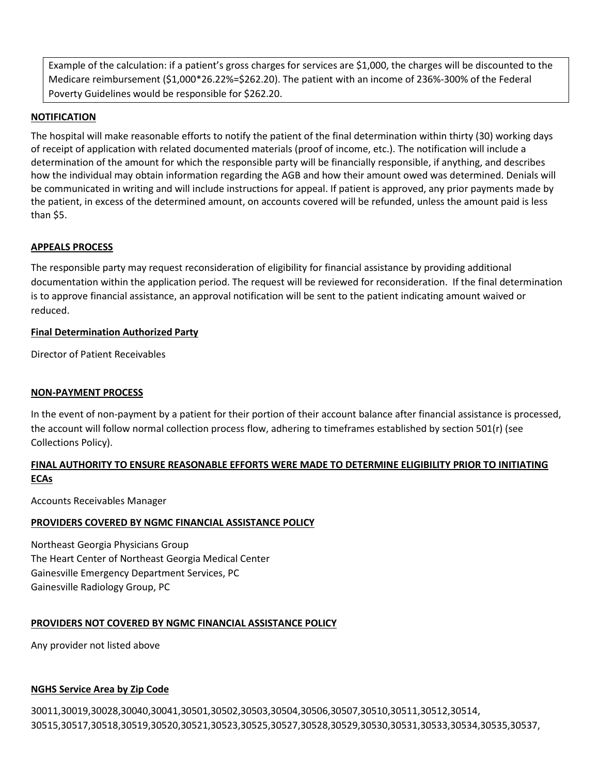Example of the calculation: if a patient's gross charges for services are \$1,000, the charges will be discounted to the Medicare reimbursement (\$1,000\*26.22%=\$262.20). The patient with an income of 236%-300% of the Federal Poverty Guidelines would be responsible for \$262.20.

### **NOTIFICATION**

The hospital will make reasonable efforts to notify the patient of the final determination within thirty (30) working days of receipt of application with related documented materials (proof of income, etc.). The notification will include a determination of the amount for which the responsible party will be financially responsible, if anything, and describes how the individual may obtain information regarding the AGB and how their amount owed was determined. Denials will be communicated in writing and will include instructions for appeal. If patient is approved, any prior payments made by the patient, in excess of the determined amount, on accounts covered will be refunded, unless the amount paid is less than \$5.

### **APPEALS PROCESS**

The responsible party may request reconsideration of eligibility for financial assistance by providing additional documentation within the application period. The request will be reviewed for reconsideration. If the final determination is to approve financial assistance, an approval notification will be sent to the patient indicating amount waived or reduced.

### **Final Determination Authorized Party**

Director of Patient Receivables

### **NON-PAYMENT PROCESS**

In the event of non-payment by a patient for their portion of their account balance after financial assistance is processed, the account will follow normal collection process flow, adhering to timeframes established by section 501(r) (see Collections Policy).

## **FINAL AUTHORITY TO ENSURE REASONABLE EFFORTS WERE MADE TO DETERMINE ELIGIBILITY PRIOR TO INITIATING ECAs**

Accounts Receivables Manager

### **PROVIDERS COVERED BY NGMC FINANCIAL ASSISTANCE POLICY**

Northeast Georgia Physicians Group The Heart Center of Northeast Georgia Medical Center Gainesville Emergency Department Services, PC Gainesville Radiology Group, PC

### **PROVIDERS NOT COVERED BY NGMC FINANCIAL ASSISTANCE POLICY**

Any provider not listed above

### **NGHS Service Area by Zip Code**

30011,30019,30028,30040,30041,30501,30502,30503,30504,30506,30507,30510,30511,30512,30514, 30515,30517,30518,30519,30520,30521,30523,30525,30527,30528,30529,30530,30531,30533,30534,30535,30537,